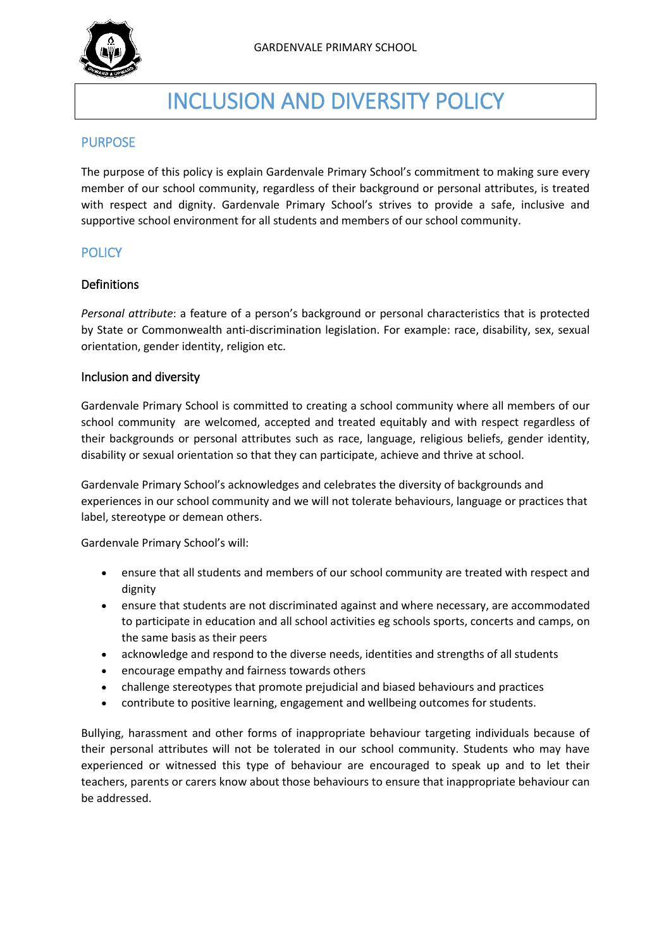

# INCLUSION AND DIVERSITY POLICY

## **PURPOSE**

The purpose of this policy is explain Gardenvale Primary School's commitment to making sure every member of our school community, regardless of their background or personal attributes, is treated with respect and dignity. Gardenvale Primary School's strives to provide a safe, inclusive and supportive school environment for all students and members of our school community.

## **POLICY**

#### Definitions

*Personal attribute*: a feature of a person's background or personal characteristics that is protected by State or Commonwealth anti-discrimination legislation. For example: race, disability, sex, sexual orientation, gender identity, religion etc.

#### Inclusion and diversity

Gardenvale Primary School is committed to creating a school community where all members of our school community are welcomed, accepted and treated equitably and with respect regardless of their backgrounds or personal attributes such as race, language, religious beliefs, gender identity, disability or sexual orientation so that they can participate, achieve and thrive at school.

Gardenvale Primary School's acknowledges and celebrates the diversity of backgrounds and experiences in our school community and we will not tolerate behaviours, language or practices that label, stereotype or demean others.

Gardenvale Primary School's will:

- ensure that all students and members of our school community are treated with respect and dignity
- ensure that students are not discriminated against and where necessary, are accommodated to participate in education and all school activities eg schools sports, concerts and camps, on the same basis as their peers
- acknowledge and respond to the diverse needs, identities and strengths of all students
- encourage empathy and fairness towards others
- challenge stereotypes that promote prejudicial and biased behaviours and practices
- contribute to positive learning, engagement and wellbeing outcomes for students.

Bullying, harassment and other forms of inappropriate behaviour targeting individuals because of their personal attributes will not be tolerated in our school community. Students who may have experienced or witnessed this type of behaviour are encouraged to speak up and to let their teachers, parents or carers know about those behaviours to ensure that inappropriate behaviour can be addressed.